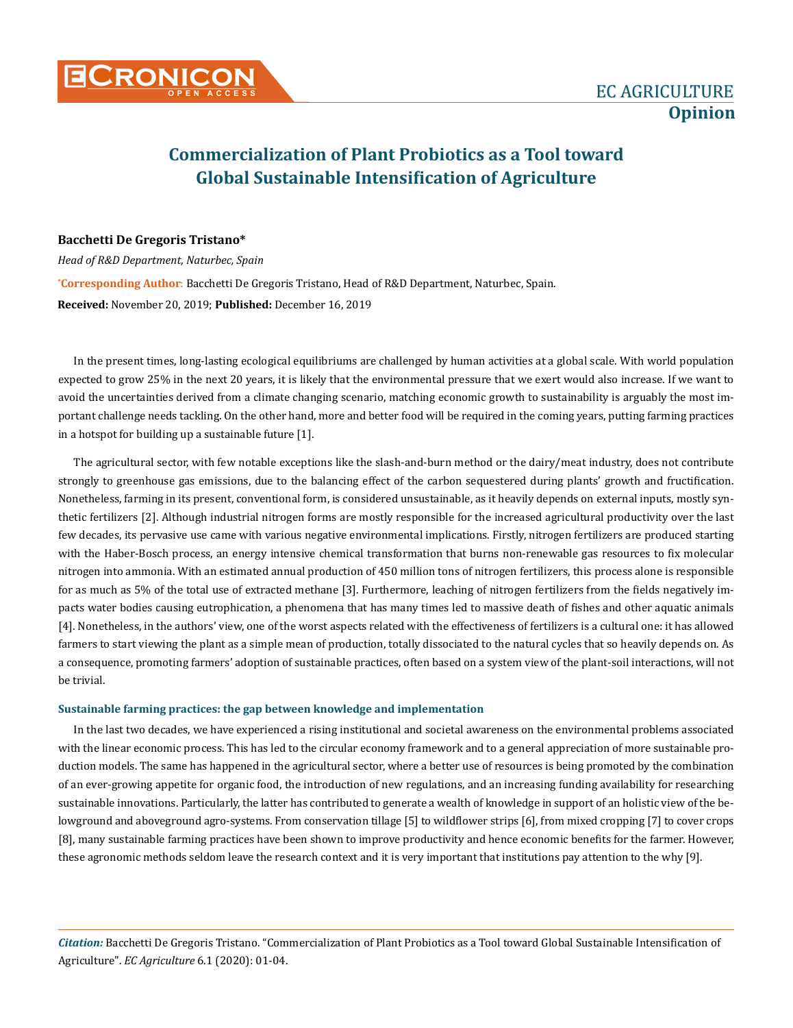# **Commercialization of Plant Probiotics as a Tool toward Global Sustainable Intensification of Agriculture**

## **Bacchetti De Gregoris Tristano\***

**\* Corresponding Author**: Bacchetti De Gregoris Tristano, Head of R&D Department, Naturbec, Spain. **Received:** November 20, 2019; **Published:** December 16, 2019 *Head of R&D Department, Naturbec, Spain* 

In the present times, long-lasting ecological equilibriums are challenged by human activities at a global scale. With world population expected to grow 25% in the next 20 years, it is likely that the environmental pressure that we exert would also increase. If we want to avoid the uncertainties derived from a climate changing scenario, matching economic growth to sustainability is arguably the most important challenge needs tackling. On the other hand, more and better food will be required in the coming years, putting farming practices in a hotspot for building up a sustainable future [1].

The agricultural sector, with few notable exceptions like the slash-and-burn method or the dairy/meat industry, does not contribute strongly to greenhouse gas emissions, due to the balancing effect of the carbon sequestered during plants' growth and fructification. Nonetheless, farming in its present, conventional form, is considered unsustainable, as it heavily depends on external inputs, mostly synthetic fertilizers [2]. Although industrial nitrogen forms are mostly responsible for the increased agricultural productivity over the last few decades, its pervasive use came with various negative environmental implications. Firstly, nitrogen fertilizers are produced starting with the Haber-Bosch process, an energy intensive chemical transformation that burns non-renewable gas resources to fix molecular nitrogen into ammonia. With an estimated annual production of 450 million tons of nitrogen fertilizers, this process alone is responsible for as much as 5% of the total use of extracted methane [3]. Furthermore, leaching of nitrogen fertilizers from the fields negatively impacts water bodies causing eutrophication, a phenomena that has many times led to massive death of fishes and other aquatic animals [4]. Nonetheless, in the authors' view, one of the worst aspects related with the effectiveness of fertilizers is a cultural one: it has allowed farmers to start viewing the plant as a simple mean of production, totally dissociated to the natural cycles that so heavily depends on. As a consequence, promoting farmers' adoption of sustainable practices, often based on a system view of the plant-soil interactions, will not be trivial.

## **Sustainable farming practices: the gap between knowledge and implementation**

In the last two decades, we have experienced a rising institutional and societal awareness on the environmental problems associated with the linear economic process. This has led to the circular economy framework and to a general appreciation of more sustainable production models. The same has happened in the agricultural sector, where a better use of resources is being promoted by the combination of an ever-growing appetite for organic food, the introduction of new regulations, and an increasing funding availability for researching sustainable innovations. Particularly, the latter has contributed to generate a wealth of knowledge in support of an holistic view of the belowground and aboveground agro-systems. From conservation tillage [5] to wildflower strips [6], from mixed cropping [7] to cover crops [8], many sustainable farming practices have been shown to improve productivity and hence economic benefits for the farmer. However, these agronomic methods seldom leave the research context and it is very important that institutions pay attention to the why [9].

*Citation:* Bacchetti De Gregoris Tristano. "Commercialization of Plant Probiotics as a Tool toward Global Sustainable Intensification of Agriculture". *EC Agriculture* 6.1 (2020): 01-04.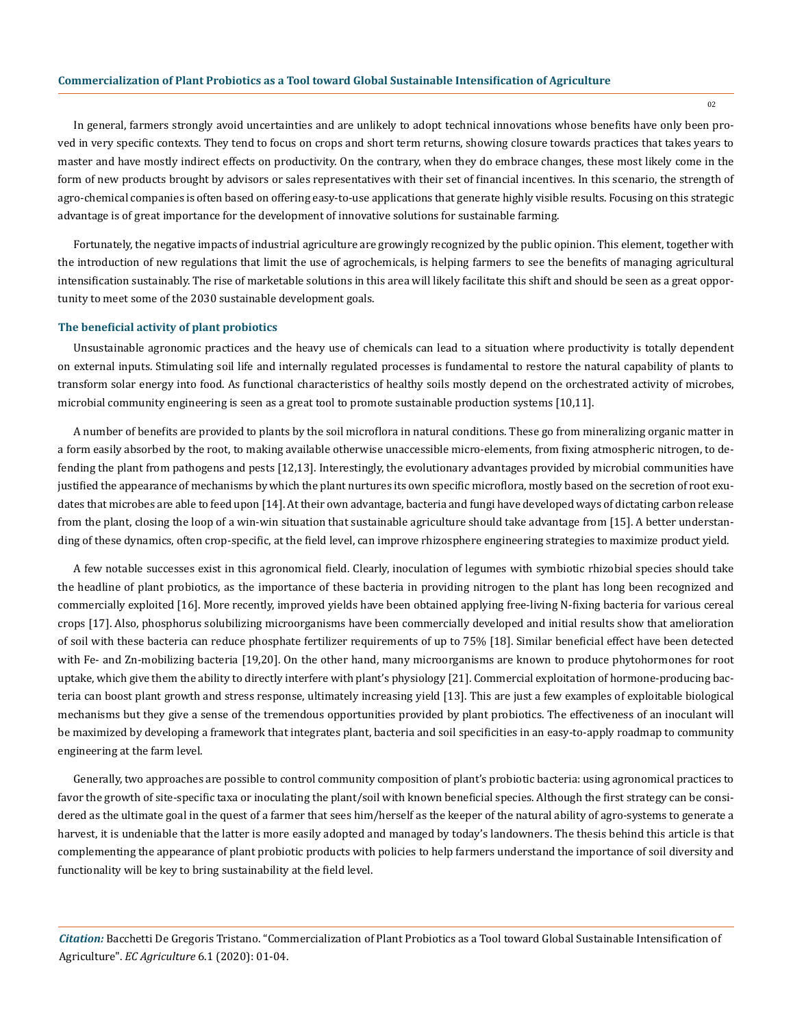#### **Commercialization of Plant Probiotics as a Tool toward Global Sustainable Intensification of Agriculture**

In general, farmers strongly avoid uncertainties and are unlikely to adopt technical innovations whose benefits have only been proved in very specific contexts. They tend to focus on crops and short term returns, showing closure towards practices that takes years to master and have mostly indirect effects on productivity. On the contrary, when they do embrace changes, these most likely come in the form of new products brought by advisors or sales representatives with their set of financial incentives. In this scenario, the strength of agro-chemical companies is often based on offering easy-to-use applications that generate highly visible results. Focusing on this strategic advantage is of great importance for the development of innovative solutions for sustainable farming.

Fortunately, the negative impacts of industrial agriculture are growingly recognized by the public opinion. This element, together with the introduction of new regulations that limit the use of agrochemicals, is helping farmers to see the benefits of managing agricultural intensification sustainably. The rise of marketable solutions in this area will likely facilitate this shift and should be seen as a great opportunity to meet some of the 2030 sustainable development goals.

### **The beneficial activity of plant probiotics**

Unsustainable agronomic practices and the heavy use of chemicals can lead to a situation where productivity is totally dependent on external inputs. Stimulating soil life and internally regulated processes is fundamental to restore the natural capability of plants to transform solar energy into food. As functional characteristics of healthy soils mostly depend on the orchestrated activity of microbes, microbial community engineering is seen as a great tool to promote sustainable production systems [10,11].

A number of benefits are provided to plants by the soil microflora in natural conditions. These go from mineralizing organic matter in a form easily absorbed by the root, to making available otherwise unaccessible micro-elements, from fixing atmospheric nitrogen, to defending the plant from pathogens and pests [12,13]. Interestingly, the evolutionary advantages provided by microbial communities have justified the appearance of mechanisms by which the plant nurtures its own specific microflora, mostly based on the secretion of root exudates that microbes are able to feed upon [14]. At their own advantage, bacteria and fungi have developed ways of dictating carbon release from the plant, closing the loop of a win-win situation that sustainable agriculture should take advantage from [15]. A better understanding of these dynamics, often crop-specific, at the field level, can improve rhizosphere engineering strategies to maximize product yield.

A few notable successes exist in this agronomical field. Clearly, inoculation of legumes with symbiotic rhizobial species should take the headline of plant probiotics, as the importance of these bacteria in providing nitrogen to the plant has long been recognized and commercially exploited [16]. More recently, improved yields have been obtained applying free-living N-fixing bacteria for various cereal crops [17]. Also, phosphorus solubilizing microorganisms have been commercially developed and initial results show that amelioration of soil with these bacteria can reduce phosphate fertilizer requirements of up to 75% [18]. Similar beneficial effect have been detected with Fe- and Zn-mobilizing bacteria [19,20]. On the other hand, many microorganisms are known to produce phytohormones for root uptake, which give them the ability to directly interfere with plant's physiology [21]. Commercial exploitation of hormone-producing bacteria can boost plant growth and stress response, ultimately increasing yield [13]. This are just a few examples of exploitable biological mechanisms but they give a sense of the tremendous opportunities provided by plant probiotics. The effectiveness of an inoculant will be maximized by developing a framework that integrates plant, bacteria and soil specificities in an easy-to-apply roadmap to community engineering at the farm level.

Generally, two approaches are possible to control community composition of plant's probiotic bacteria: using agronomical practices to favor the growth of site-specific taxa or inoculating the plant/soil with known beneficial species. Although the first strategy can be considered as the ultimate goal in the quest of a farmer that sees him/herself as the keeper of the natural ability of agro-systems to generate a harvest, it is undeniable that the latter is more easily adopted and managed by today's landowners. The thesis behind this article is that complementing the appearance of plant probiotic products with policies to help farmers understand the importance of soil diversity and functionality will be key to bring sustainability at the field level.

*Citation:* Bacchetti De Gregoris Tristano. "Commercialization of Plant Probiotics as a Tool toward Global Sustainable Intensification of Agriculture". *EC Agriculture* 6.1 (2020): 01-04.

02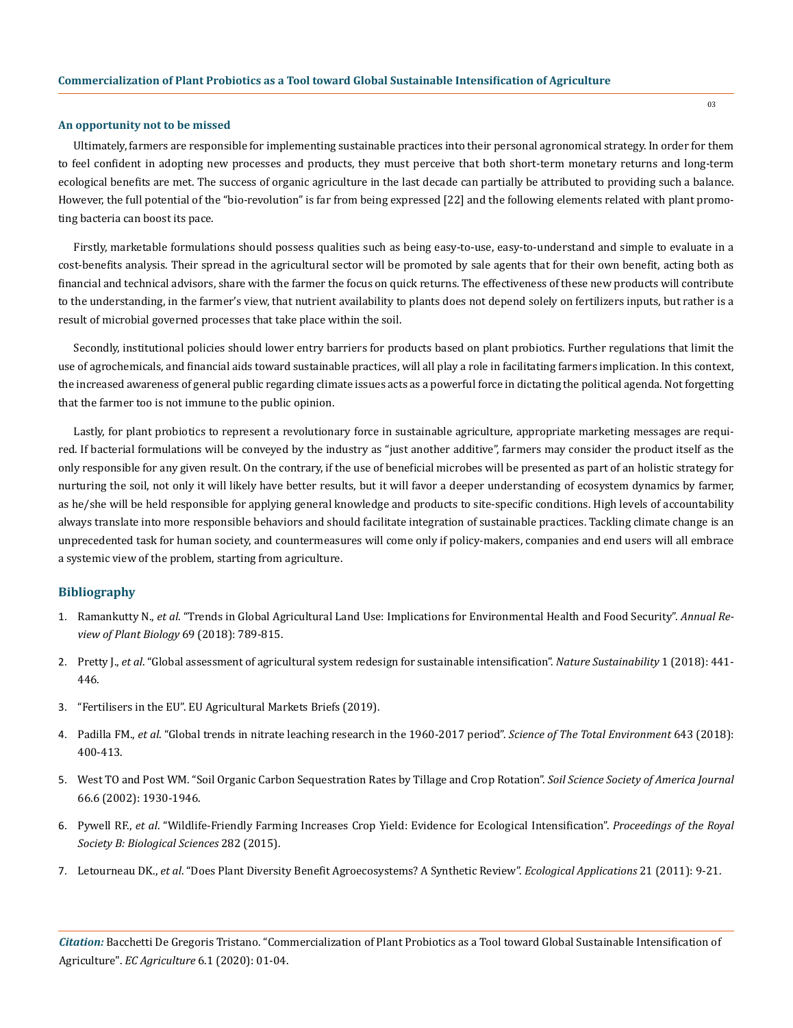#### **An opportunity not to be missed**

Ultimately, farmers are responsible for implementing sustainable practices into their personal agronomical strategy. In order for them to feel confident in adopting new processes and products, they must perceive that both short-term monetary returns and long-term ecological benefits are met. The success of organic agriculture in the last decade can partially be attributed to providing such a balance. However, the full potential of the "bio-revolution" is far from being expressed [22] and the following elements related with plant promoting bacteria can boost its pace.

Firstly, marketable formulations should possess qualities such as being easy-to-use, easy-to-understand and simple to evaluate in a cost-benefits analysis. Their spread in the agricultural sector will be promoted by sale agents that for their own benefit, acting both as financial and technical advisors, share with the farmer the focus on quick returns. The effectiveness of these new products will contribute to the understanding, in the farmer's view, that nutrient availability to plants does not depend solely on fertilizers inputs, but rather is a result of microbial governed processes that take place within the soil.

Secondly, institutional policies should lower entry barriers for products based on plant probiotics. Further regulations that limit the use of agrochemicals, and financial aids toward sustainable practices, will all play a role in facilitating farmers implication. In this context, the increased awareness of general public regarding climate issues acts as a powerful force in dictating the political agenda. Not forgetting that the farmer too is not immune to the public opinion.

Lastly, for plant probiotics to represent a revolutionary force in sustainable agriculture, appropriate marketing messages are required. If bacterial formulations will be conveyed by the industry as "just another additive", farmers may consider the product itself as the only responsible for any given result. On the contrary, if the use of beneficial microbes will be presented as part of an holistic strategy for nurturing the soil, not only it will likely have better results, but it will favor a deeper understanding of ecosystem dynamics by farmer, as he/she will be held responsible for applying general knowledge and products to site-specific conditions. High levels of accountability always translate into more responsible behaviors and should facilitate integration of sustainable practices. Tackling climate change is an unprecedented task for human society, and countermeasures will come only if policy-makers, companies and end users will all embrace a systemic view of the problem, starting from agriculture.

## **Bibliography**

- 1. Ramankutty N., *et al*[. "Trends in Global Agricultural Land Use: Implications for Environmental Health and Food Security".](https://www.ncbi.nlm.nih.gov/pubmed/29489395) *Annual Re[view of Plant Biology](https://www.ncbi.nlm.nih.gov/pubmed/29489395)* 69 (2018): 789-815.
- 2. Pretty J., *et al*[. "Global assessment of agricultural system redesign for sustainable intensification".](https://www.nature.com/articles/s41893-018-0114-0) *Nature Sustainability* 1 (2018): 441- [446.](https://www.nature.com/articles/s41893-018-0114-0)
- 3. ["Fertilisers in the EU". EU Agricultural Markets Briefs \(2019\).](https://ec.europa.eu/info/sites/info/files/food-farming-fisheries/farming/documents/market-brief-fertilisers_june2019_en.pdf)
- 4. Padilla FM., *et al*[. "Global trends in nitrate leaching research in the 1960-2017 period".](https://www.ncbi.nlm.nih.gov/pubmed/29940451) *Science of The Total Environment* 643 (2018): [400-413.](https://www.ncbi.nlm.nih.gov/pubmed/29940451)
- 5. [West TO and Post WM. "Soil Organic Carbon Sequestration Rates by Tillage and Crop Rotation".](https://www.researchgate.net/publication/221899778_Soil_Organic_Carbon_Sequestration_Rates_by_Tillage_and_Crop_Rotation_A_Global_Data_Analysis) *Soil Science Society of America Journal* [66.6 \(2002\): 1930-1946.](https://www.researchgate.net/publication/221899778_Soil_Organic_Carbon_Sequestration_Rates_by_Tillage_and_Crop_Rotation_A_Global_Data_Analysis)
- 6. Pywell RF., *et al*[. "Wildlife-Friendly Farming Increases Crop Yield: Evidence for Ecological Intensification".](https://www.ncbi.nlm.nih.gov/pubmed/26423846) *Proceedings of the Royal [Society B: Biological Sciences](https://www.ncbi.nlm.nih.gov/pubmed/26423846)* 282 (2015).
- 7. Letourneau DK., *et al*[. "Does Plant Diversity Benefit Agroecosystems? A Synthetic Review".](https://www.researchgate.net/publication/51073886_Does_plant_diversity_benefit_agroecosystems_A_synthetic_review) *Ecological Applications* 21 (2011): 9-21.

*Citation:* Bacchetti De Gregoris Tristano. "Commercialization of Plant Probiotics as a Tool toward Global Sustainable Intensification of Agriculture". *EC Agriculture* 6.1 (2020): 01-04.